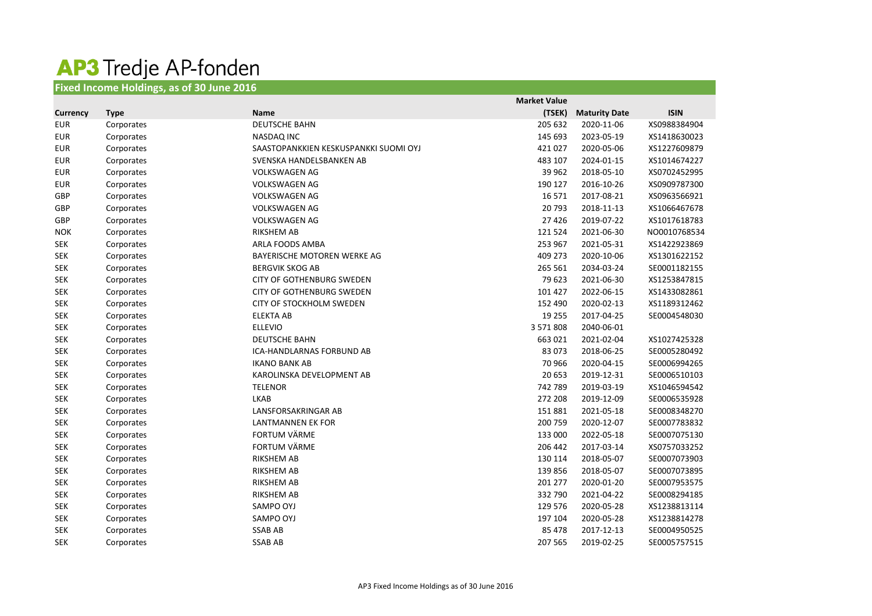## **AP3** Tredje AP-fonden

| <b>Fixed Income Holdings, as of 30 June 2016</b> |             |                                       |                     |                      |              |
|--------------------------------------------------|-------------|---------------------------------------|---------------------|----------------------|--------------|
|                                                  |             |                                       | <b>Market Value</b> |                      |              |
| <b>Currency</b>                                  | <b>Type</b> | <b>Name</b>                           | (TSEK)              | <b>Maturity Date</b> | <b>ISIN</b>  |
| <b>EUR</b>                                       | Corporates  | <b>DEUTSCHE BAHN</b>                  | 205 632             | 2020-11-06           | XS0988384904 |
| <b>EUR</b>                                       | Corporates  | <b>NASDAQ INC</b>                     | 145 693             | 2023-05-19           | XS1418630023 |
| <b>EUR</b>                                       | Corporates  | SAASTOPANKKIEN KESKUSPANKKI SUOMI OYJ | 421 027             | 2020-05-06           | XS1227609879 |
| <b>EUR</b>                                       | Corporates  | SVENSKA HANDELSBANKEN AB              | 483 107             | 2024-01-15           | XS1014674227 |
| <b>EUR</b>                                       | Corporates  | <b>VOLKSWAGEN AG</b>                  | 39 962              | 2018-05-10           | XS0702452995 |
| <b>EUR</b>                                       | Corporates  | <b>VOLKSWAGEN AG</b>                  | 190 127             | 2016-10-26           | XS0909787300 |
| GBP                                              | Corporates  | <b>VOLKSWAGEN AG</b>                  | 16 5 7 1            | 2017-08-21           | XS0963566921 |
| GBP                                              | Corporates  | <b>VOLKSWAGEN AG</b>                  | 20 793              | 2018-11-13           | XS1066467678 |
| GBP                                              | Corporates  | <b>VOLKSWAGEN AG</b>                  | 27 4 26             | 2019-07-22           | XS1017618783 |
| <b>NOK</b>                                       | Corporates  | <b>RIKSHEM AB</b>                     | 121 524             | 2021-06-30           | NO0010768534 |
| <b>SEK</b>                                       | Corporates  | ARLA FOODS AMBA                       | 253 967             | 2021-05-31           | XS1422923869 |
| <b>SEK</b>                                       | Corporates  | BAYERISCHE MOTOREN WERKE AG           | 409 273             | 2020-10-06           | XS1301622152 |
| <b>SEK</b>                                       | Corporates  | <b>BERGVIK SKOG AB</b>                | 265 561             | 2034-03-24           | SE0001182155 |
| <b>SEK</b>                                       | Corporates  | <b>CITY OF GOTHENBURG SWEDEN</b>      | 79 623              | 2021-06-30           | XS1253847815 |
| <b>SEK</b>                                       | Corporates  | <b>CITY OF GOTHENBURG SWEDEN</b>      | 101 427             | 2022-06-15           | XS1433082861 |
| <b>SEK</b>                                       | Corporates  | CITY OF STOCKHOLM SWEDEN              | 152 490             | 2020-02-13           | XS1189312462 |
| <b>SEK</b>                                       | Corporates  | <b>ELEKTA AB</b>                      | 19 255              | 2017-04-25           | SE0004548030 |
| <b>SEK</b>                                       | Corporates  | <b>ELLEVIO</b>                        | 3 571 808           | 2040-06-01           |              |
| <b>SEK</b>                                       | Corporates  | <b>DEUTSCHE BAHN</b>                  | 663 021             | 2021-02-04           | XS1027425328 |
| <b>SEK</b>                                       | Corporates  | ICA-HANDLARNAS FORBUND AB             | 83 073              | 2018-06-25           | SE0005280492 |
| <b>SEK</b>                                       | Corporates  | <b>IKANO BANK AB</b>                  | 70 966              | 2020-04-15           | SE0006994265 |
| <b>SEK</b>                                       | Corporates  | KAROLINSKA DEVELOPMENT AB             | 20 653              | 2019-12-31           | SE0006510103 |
| <b>SEK</b>                                       | Corporates  | <b>TELENOR</b>                        | 742 789             | 2019-03-19           | XS1046594542 |
| <b>SEK</b>                                       | Corporates  | <b>LKAB</b>                           | 272 208             | 2019-12-09           | SE0006535928 |
| <b>SEK</b>                                       | Corporates  | LANSFORSAKRINGAR AB                   | 151 881             | 2021-05-18           | SE0008348270 |
| <b>SEK</b>                                       | Corporates  | <b>LANTMANNEN EK FOR</b>              | 200 759             | 2020-12-07           | SE0007783832 |
| <b>SEK</b>                                       | Corporates  | <b>FORTUM VÄRME</b>                   | 133 000             | 2022-05-18           | SE0007075130 |
| <b>SEK</b>                                       | Corporates  | FORTUM VÄRME                          | 206 442             | 2017-03-14           | XS0757033252 |
| <b>SEK</b>                                       | Corporates  | RIKSHEM AB                            | 130 114             | 2018-05-07           | SE0007073903 |
| <b>SEK</b>                                       | Corporates  | <b>RIKSHEM AB</b>                     | 139 856             | 2018-05-07           | SE0007073895 |
| <b>SEK</b>                                       | Corporates  | <b>RIKSHEM AB</b>                     | 201 277             | 2020-01-20           | SE0007953575 |
| <b>SEK</b>                                       | Corporates  | <b>RIKSHEM AB</b>                     | 332 790             | 2021-04-22           | SE0008294185 |
| <b>SEK</b>                                       | Corporates  | SAMPO OYJ                             | 129 576             | 2020-05-28           | XS1238813114 |
| <b>SEK</b>                                       | Corporates  | SAMPO OYJ                             | 197 104             | 2020-05-28           | XS1238814278 |

SEK Corporates SSAB AB 85 478 2017-12-13 SE0004950525 SEK Corporates SSAB AB 207 565 2019-02-25 SE0005757515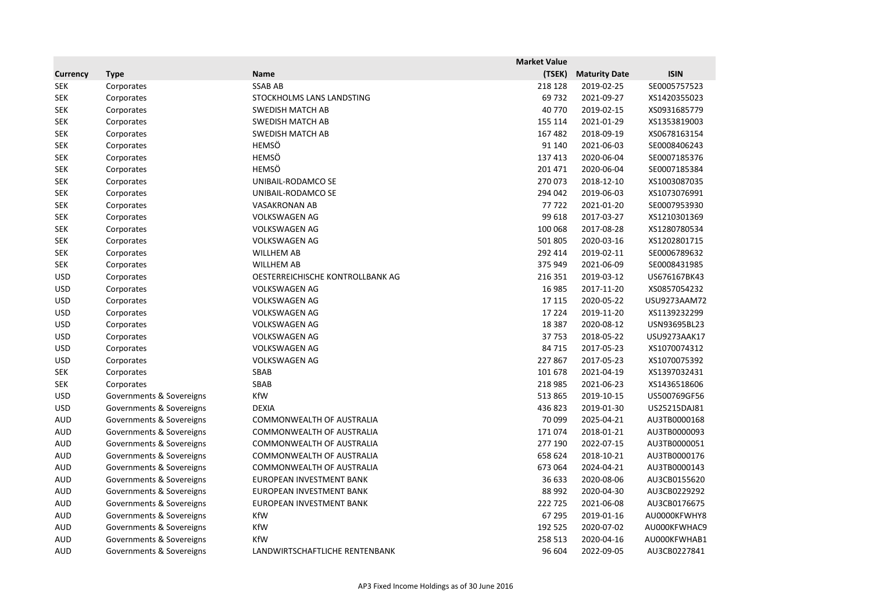|                 |                          |                                  | <b>Market Value</b> |                      |              |
|-----------------|--------------------------|----------------------------------|---------------------|----------------------|--------------|
| <b>Currency</b> | <b>Type</b>              | <b>Name</b>                      | (TSEK)              | <b>Maturity Date</b> | <b>ISIN</b>  |
| <b>SEK</b>      | Corporates               | <b>SSAB AB</b>                   | 218 128             | 2019-02-25           | SE0005757523 |
| <b>SEK</b>      | Corporates               | STOCKHOLMS LANS LANDSTING        | 69732               | 2021-09-27           | XS1420355023 |
| <b>SEK</b>      | Corporates               | <b>SWEDISH MATCH AB</b>          | 40 770              | 2019-02-15           | XS0931685779 |
| <b>SEK</b>      | Corporates               | <b>SWEDISH MATCH AB</b>          | 155 114             | 2021-01-29           | XS1353819003 |
| <b>SEK</b>      | Corporates               | <b>SWEDISH MATCH AB</b>          | 167 482             | 2018-09-19           | XS0678163154 |
| <b>SEK</b>      | Corporates               | <b>HEMSÖ</b>                     | 91 140              | 2021-06-03           | SE0008406243 |
| <b>SEK</b>      | Corporates               | <b>HEMSÖ</b>                     | 137 413             | 2020-06-04           | SE0007185376 |
| <b>SEK</b>      | Corporates               | <b>HEMSÖ</b>                     | 201 471             | 2020-06-04           | SE0007185384 |
| <b>SEK</b>      | Corporates               | UNIBAIL-RODAMCO SE               | 270 073             | 2018-12-10           | XS1003087035 |
| <b>SEK</b>      | Corporates               | UNIBAIL-RODAMCO SE               | 294 042             | 2019-06-03           | XS1073076991 |
| <b>SEK</b>      | Corporates               | <b>VASAKRONAN AB</b>             | 77722               | 2021-01-20           | SE0007953930 |
| <b>SEK</b>      | Corporates               | <b>VOLKSWAGEN AG</b>             | 99 618              | 2017-03-27           | XS1210301369 |
| <b>SEK</b>      | Corporates               | <b>VOLKSWAGEN AG</b>             | 100 068             | 2017-08-28           | XS1280780534 |
| <b>SEK</b>      | Corporates               | <b>VOLKSWAGEN AG</b>             | 501 805             | 2020-03-16           | XS1202801715 |
| <b>SEK</b>      | Corporates               | <b>WILLHEM AB</b>                | 292 414             | 2019-02-11           | SE0006789632 |
| <b>SEK</b>      | Corporates               | <b>WILLHEM AB</b>                | 375 949             | 2021-06-09           | SE0008431985 |
| <b>USD</b>      | Corporates               | OESTERREICHISCHE KONTROLLBANK AG | 216 351             | 2019-03-12           | US676167BK43 |
| <b>USD</b>      | Corporates               | <b>VOLKSWAGEN AG</b>             | 16 985              | 2017-11-20           | XS0857054232 |
| <b>USD</b>      | Corporates               | <b>VOLKSWAGEN AG</b>             | 17 115              | 2020-05-22           | USU9273AAM72 |
| <b>USD</b>      | Corporates               | <b>VOLKSWAGEN AG</b>             | 17 2 24             | 2019-11-20           | XS1139232299 |
| <b>USD</b>      | Corporates               | <b>VOLKSWAGEN AG</b>             | 18 3 8 7            | 2020-08-12           | USN93695BL23 |
| <b>USD</b>      | Corporates               | <b>VOLKSWAGEN AG</b>             | 37753               | 2018-05-22           | USU9273AAK17 |
| <b>USD</b>      | Corporates               | <b>VOLKSWAGEN AG</b>             | 84 715              | 2017-05-23           | XS1070074312 |
| <b>USD</b>      | Corporates               | <b>VOLKSWAGEN AG</b>             | 227 867             | 2017-05-23           | XS1070075392 |
| <b>SEK</b>      | Corporates               | SBAB                             | 101 678             | 2021-04-19           | XS1397032431 |
| <b>SEK</b>      | Corporates               | SBAB                             | 218 985             | 2021-06-23           | XS1436518606 |
| <b>USD</b>      | Governments & Sovereigns | KfW                              | 513 865             | 2019-10-15           | US500769GF56 |
| <b>USD</b>      | Governments & Sovereigns | <b>DEXIA</b>                     | 436 823             | 2019-01-30           | US25215DAJ81 |
| <b>AUD</b>      | Governments & Sovereigns | <b>COMMONWEALTH OF AUSTRALIA</b> | 70 099              | 2025-04-21           | AU3TB0000168 |
| <b>AUD</b>      | Governments & Sovereigns | COMMONWEALTH OF AUSTRALIA        | 171074              | 2018-01-21           | AU3TB0000093 |
| <b>AUD</b>      | Governments & Sovereigns | <b>COMMONWEALTH OF AUSTRALIA</b> | 277 190             | 2022-07-15           | AU3TB0000051 |
| <b>AUD</b>      | Governments & Sovereigns | COMMONWEALTH OF AUSTRALIA        | 658 624             | 2018-10-21           | AU3TB0000176 |
| <b>AUD</b>      | Governments & Sovereigns | COMMONWEALTH OF AUSTRALIA        | 673 064             | 2024-04-21           | AU3TB0000143 |
| <b>AUD</b>      | Governments & Sovereigns | EUROPEAN INVESTMENT BANK         | 36 633              | 2020-08-06           | AU3CB0155620 |
| <b>AUD</b>      | Governments & Sovereigns | EUROPEAN INVESTMENT BANK         | 88 992              | 2020-04-30           | AU3CB0229292 |
| <b>AUD</b>      | Governments & Sovereigns | EUROPEAN INVESTMENT BANK         | 222 725             | 2021-06-08           | AU3CB0176675 |
| <b>AUD</b>      | Governments & Sovereigns | KfW                              | 67 295              | 2019-01-16           | AU0000KFWHY8 |
| <b>AUD</b>      | Governments & Sovereigns | KfW                              | 192 525             | 2020-07-02           | AU000KFWHAC9 |
| <b>AUD</b>      | Governments & Sovereigns | KfW                              | 258 513             | 2020-04-16           | AU000KFWHAB1 |
| <b>AUD</b>      | Governments & Sovereigns | LANDWIRTSCHAFTLICHE RENTENBANK   | 96 604              | 2022-09-05           | AU3CB0227841 |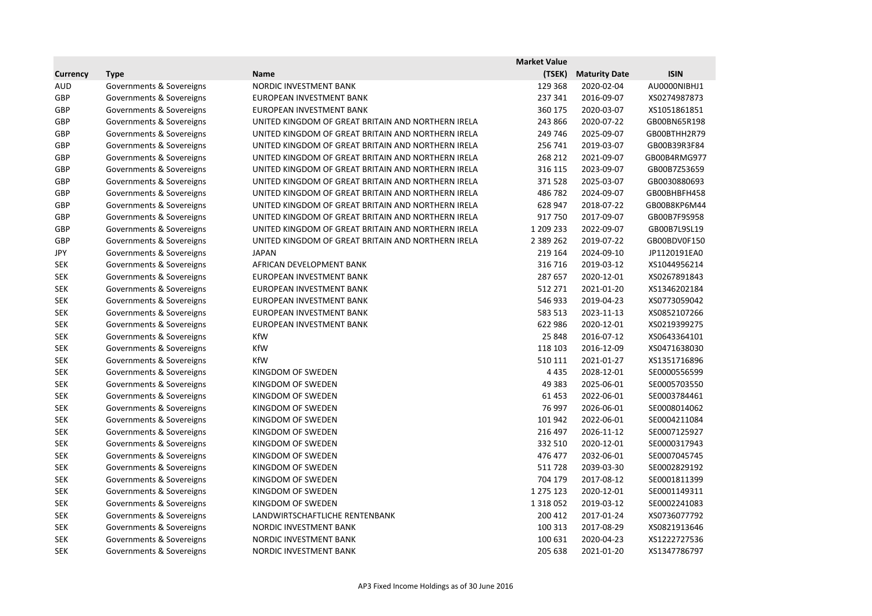|                 |                          |                                                    | <b>Market Value</b> |                      |              |
|-----------------|--------------------------|----------------------------------------------------|---------------------|----------------------|--------------|
| <b>Currency</b> | <b>Type</b>              | <b>Name</b>                                        | (TSEK)              | <b>Maturity Date</b> | <b>ISIN</b>  |
| <b>AUD</b>      | Governments & Sovereigns | NORDIC INVESTMENT BANK                             | 129 368             | 2020-02-04           | AU0000NIBHJ1 |
| <b>GBP</b>      | Governments & Sovereigns | EUROPEAN INVESTMENT BANK                           | 237 341             | 2016-09-07           | XS0274987873 |
| <b>GBP</b>      | Governments & Sovereigns | EUROPEAN INVESTMENT BANK                           | 360 175             | 2020-03-07           | XS1051861851 |
| <b>GBP</b>      | Governments & Sovereigns | UNITED KINGDOM OF GREAT BRITAIN AND NORTHERN IRELA | 243 866             | 2020-07-22           | GB00BN65R198 |
| <b>GBP</b>      | Governments & Sovereigns | UNITED KINGDOM OF GREAT BRITAIN AND NORTHERN IRELA | 249 746             | 2025-09-07           | GB00BTHH2R79 |
| <b>GBP</b>      | Governments & Sovereigns | UNITED KINGDOM OF GREAT BRITAIN AND NORTHERN IRELA | 256 741             | 2019-03-07           | GB00B39R3F84 |
| <b>GBP</b>      | Governments & Sovereigns | UNITED KINGDOM OF GREAT BRITAIN AND NORTHERN IRELA | 268 212             | 2021-09-07           | GB00B4RMG977 |
| GBP             | Governments & Sovereigns | UNITED KINGDOM OF GREAT BRITAIN AND NORTHERN IRELA | 316 115             | 2023-09-07           | GB00B7Z53659 |
| GBP             | Governments & Sovereigns | UNITED KINGDOM OF GREAT BRITAIN AND NORTHERN IRELA | 371528              | 2025-03-07           | GB0030880693 |
| <b>GBP</b>      | Governments & Sovereigns | UNITED KINGDOM OF GREAT BRITAIN AND NORTHERN IRELA | 486782              | 2024-09-07           | GB00BHBFH458 |
| <b>GBP</b>      | Governments & Sovereigns | UNITED KINGDOM OF GREAT BRITAIN AND NORTHERN IRELA | 628 947             | 2018-07-22           | GB00B8KP6M44 |
| <b>GBP</b>      | Governments & Sovereigns | UNITED KINGDOM OF GREAT BRITAIN AND NORTHERN IRELA | 917750              | 2017-09-07           | GB00B7F9S958 |
| GBP             | Governments & Sovereigns | UNITED KINGDOM OF GREAT BRITAIN AND NORTHERN IRELA | 1 209 233           | 2022-09-07           | GB00B7L9SL19 |
| <b>GBP</b>      | Governments & Sovereigns | UNITED KINGDOM OF GREAT BRITAIN AND NORTHERN IRELA | 2 3 8 9 2 6 2       | 2019-07-22           | GB00BDV0F150 |
| <b>JPY</b>      | Governments & Sovereigns | <b>JAPAN</b>                                       | 219 164             | 2024-09-10           | JP1120191EA0 |
| <b>SEK</b>      | Governments & Sovereigns | AFRICAN DEVELOPMENT BANK                           | 316 716             | 2019-03-12           | XS1044956214 |
| <b>SEK</b>      | Governments & Sovereigns | EUROPEAN INVESTMENT BANK                           | 287 657             | 2020-12-01           | XS0267891843 |
| <b>SEK</b>      | Governments & Sovereigns | EUROPEAN INVESTMENT BANK                           | 512 271             | 2021-01-20           | XS1346202184 |
| <b>SEK</b>      | Governments & Sovereigns | EUROPEAN INVESTMENT BANK                           | 546 933             | 2019-04-23           | XS0773059042 |
| <b>SEK</b>      | Governments & Sovereigns | EUROPEAN INVESTMENT BANK                           | 583 513             | 2023-11-13           | XS0852107266 |
| <b>SEK</b>      | Governments & Sovereigns | EUROPEAN INVESTMENT BANK                           | 622 986             | 2020-12-01           | XS0219399275 |
| <b>SEK</b>      | Governments & Sovereigns | KfW                                                | 25 848              | 2016-07-12           | XS0643364101 |
| <b>SEK</b>      | Governments & Sovereigns | KfW                                                | 118 103             | 2016-12-09           | XS0471638030 |
| <b>SEK</b>      | Governments & Sovereigns | <b>KfW</b>                                         | 510 111             | 2021-01-27           | XS1351716896 |
| <b>SEK</b>      | Governments & Sovereigns | KINGDOM OF SWEDEN                                  | 4 4 3 5             | 2028-12-01           | SE0000556599 |
| <b>SEK</b>      | Governments & Sovereigns | KINGDOM OF SWEDEN                                  | 49 3 83             | 2025-06-01           | SE0005703550 |
| <b>SEK</b>      | Governments & Sovereigns | KINGDOM OF SWEDEN                                  | 61 4 53             | 2022-06-01           | SE0003784461 |
| <b>SEK</b>      | Governments & Sovereigns | KINGDOM OF SWEDEN                                  | 76 997              | 2026-06-01           | SE0008014062 |
| <b>SEK</b>      | Governments & Sovereigns | KINGDOM OF SWEDEN                                  | 101 942             | 2022-06-01           | SE0004211084 |
| <b>SEK</b>      | Governments & Sovereigns | KINGDOM OF SWEDEN                                  | 216 497             | 2026-11-12           | SE0007125927 |
| <b>SEK</b>      | Governments & Sovereigns | KINGDOM OF SWEDEN                                  | 332 510             | 2020-12-01           | SE0000317943 |
| <b>SEK</b>      | Governments & Sovereigns | KINGDOM OF SWEDEN                                  | 476 477             | 2032-06-01           | SE0007045745 |
| <b>SEK</b>      | Governments & Sovereigns | KINGDOM OF SWEDEN                                  | 511728              | 2039-03-30           | SE0002829192 |
| <b>SEK</b>      | Governments & Sovereigns | KINGDOM OF SWEDEN                                  | 704 179             | 2017-08-12           | SE0001811399 |
| <b>SEK</b>      | Governments & Sovereigns | KINGDOM OF SWEDEN                                  | 1 275 123           | 2020-12-01           | SE0001149311 |
| <b>SEK</b>      | Governments & Sovereigns | KINGDOM OF SWEDEN                                  | 1 3 1 8 0 5 2       | 2019-03-12           | SE0002241083 |
| <b>SEK</b>      | Governments & Sovereigns | LANDWIRTSCHAFTLICHE RENTENBANK                     | 200 412             | 2017-01-24           | XS0736077792 |
| <b>SEK</b>      | Governments & Sovereigns | NORDIC INVESTMENT BANK                             | 100 313             | 2017-08-29           | XS0821913646 |
| <b>SEK</b>      | Governments & Sovereigns | NORDIC INVESTMENT BANK                             | 100 631             | 2020-04-23           | XS1222727536 |
| <b>SEK</b>      | Governments & Sovereigns | NORDIC INVESTMENT BANK                             | 205 638             | 2021-01-20           | XS1347786797 |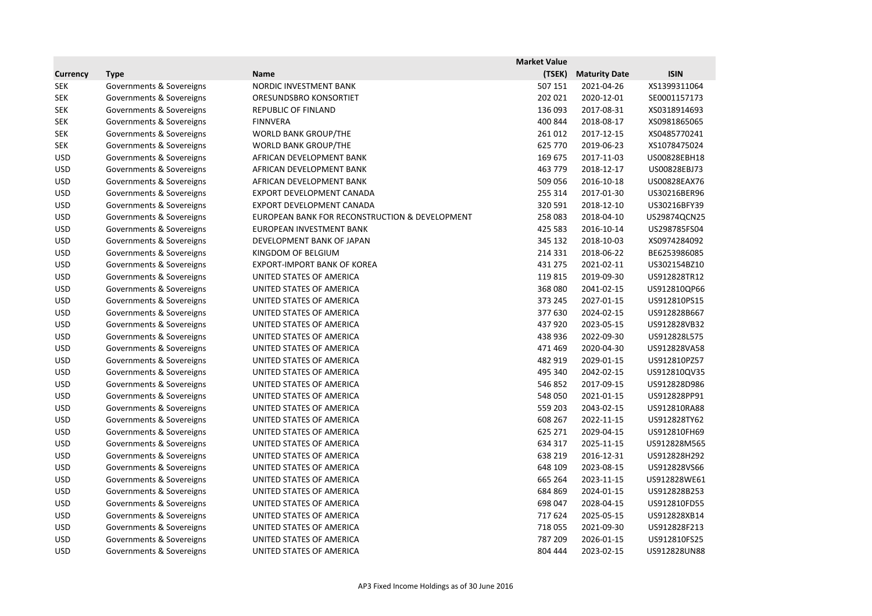|                 |                          |                                                | <b>Market Value</b> |                      |              |
|-----------------|--------------------------|------------------------------------------------|---------------------|----------------------|--------------|
| <b>Currency</b> | <b>Type</b>              | <b>Name</b>                                    | (TSEK)              | <b>Maturity Date</b> | <b>ISIN</b>  |
| <b>SEK</b>      | Governments & Sovereigns | NORDIC INVESTMENT BANK                         | 507 151             | 2021-04-26           | XS1399311064 |
| <b>SEK</b>      | Governments & Sovereigns | ORESUNDSBRO KONSORTIET                         | 202 021             | 2020-12-01           | SE0001157173 |
| <b>SEK</b>      | Governments & Sovereigns | REPUBLIC OF FINLAND                            | 136 093             | 2017-08-31           | XS0318914693 |
| <b>SEK</b>      | Governments & Sovereigns | <b>FINNVERA</b>                                | 400 844             | 2018-08-17           | XS0981865065 |
| <b>SEK</b>      | Governments & Sovereigns | <b>WORLD BANK GROUP/THE</b>                    | 261 012             | 2017-12-15           | XS0485770241 |
| <b>SEK</b>      | Governments & Sovereigns | <b>WORLD BANK GROUP/THE</b>                    | 625 770             | 2019-06-23           | XS1078475024 |
| <b>USD</b>      | Governments & Sovereigns | AFRICAN DEVELOPMENT BANK                       | 169 675             | 2017-11-03           | US00828EBH18 |
| <b>USD</b>      | Governments & Sovereigns | AFRICAN DEVELOPMENT BANK                       | 463 779             | 2018-12-17           | US00828EBJ73 |
| <b>USD</b>      | Governments & Sovereigns | AFRICAN DEVELOPMENT BANK                       | 509 056             | 2016-10-18           | US00828EAX76 |
| <b>USD</b>      | Governments & Sovereigns | EXPORT DEVELOPMENT CANADA                      | 255 314             | 2017-01-30           | US30216BER96 |
| <b>USD</b>      | Governments & Sovereigns | EXPORT DEVELOPMENT CANADA                      | 320 591             | 2018-12-10           | US30216BFY39 |
| <b>USD</b>      | Governments & Sovereigns | EUROPEAN BANK FOR RECONSTRUCTION & DEVELOPMENT | 258 083             | 2018-04-10           | US29874QCN25 |
| <b>USD</b>      | Governments & Sovereigns | EUROPEAN INVESTMENT BANK                       | 425 583             | 2016-10-14           | US298785FS04 |
| <b>USD</b>      | Governments & Sovereigns | DEVELOPMENT BANK OF JAPAN                      | 345 132             | 2018-10-03           | XS0974284092 |
| <b>USD</b>      | Governments & Sovereigns | KINGDOM OF BELGIUM                             | 214 331             | 2018-06-22           | BE6253986085 |
| <b>USD</b>      | Governments & Sovereigns | <b>EXPORT-IMPORT BANK OF KOREA</b>             | 431 275             | 2021-02-11           | US302154BZ10 |
| <b>USD</b>      | Governments & Sovereigns | UNITED STATES OF AMERICA                       | 119815              | 2019-09-30           | US912828TR12 |
| <b>USD</b>      | Governments & Sovereigns | UNITED STATES OF AMERICA                       | 368 080             | 2041-02-15           | US912810QP66 |
| <b>USD</b>      | Governments & Sovereigns | UNITED STATES OF AMERICA                       | 373 245             | 2027-01-15           | US912810PS15 |
| <b>USD</b>      | Governments & Sovereigns | UNITED STATES OF AMERICA                       | 377 630             | 2024-02-15           | US912828B667 |
| <b>USD</b>      | Governments & Sovereigns | UNITED STATES OF AMERICA                       | 437920              | 2023-05-15           | US912828VB32 |
| <b>USD</b>      | Governments & Sovereigns | UNITED STATES OF AMERICA                       | 438 936             | 2022-09-30           | US912828L575 |
| <b>USD</b>      | Governments & Sovereigns | UNITED STATES OF AMERICA                       | 471 469             | 2020-04-30           | US912828VA58 |
| <b>USD</b>      | Governments & Sovereigns | UNITED STATES OF AMERICA                       | 482 919             | 2029-01-15           | US912810PZ57 |
| <b>USD</b>      | Governments & Sovereigns | UNITED STATES OF AMERICA                       | 495 340             | 2042-02-15           | US912810QV35 |
| <b>USD</b>      | Governments & Sovereigns | UNITED STATES OF AMERICA                       | 546 852             | 2017-09-15           | US912828D986 |
| <b>USD</b>      | Governments & Sovereigns | UNITED STATES OF AMERICA                       | 548 050             | 2021-01-15           | US912828PP91 |
| <b>USD</b>      | Governments & Sovereigns | UNITED STATES OF AMERICA                       | 559 203             | 2043-02-15           | US912810RA88 |
| <b>USD</b>      | Governments & Sovereigns | UNITED STATES OF AMERICA                       | 608 267             | 2022-11-15           | US912828TY62 |
| <b>USD</b>      | Governments & Sovereigns | UNITED STATES OF AMERICA                       | 625 271             | 2029-04-15           | US912810FH69 |
| <b>USD</b>      | Governments & Sovereigns | UNITED STATES OF AMERICA                       | 634 317             | 2025-11-15           | US912828M565 |
| <b>USD</b>      | Governments & Sovereigns | UNITED STATES OF AMERICA                       | 638 219             | 2016-12-31           | US912828H292 |
| <b>USD</b>      | Governments & Sovereigns | UNITED STATES OF AMERICA                       | 648 109             | 2023-08-15           | US912828VS66 |
| <b>USD</b>      | Governments & Sovereigns | UNITED STATES OF AMERICA                       | 665 264             | 2023-11-15           | US912828WE61 |
| <b>USD</b>      | Governments & Sovereigns | UNITED STATES OF AMERICA                       | 684 869             | 2024-01-15           | US912828B253 |
| <b>USD</b>      | Governments & Sovereigns | UNITED STATES OF AMERICA                       | 698 047             | 2028-04-15           | US912810FD55 |
| <b>USD</b>      | Governments & Sovereigns | UNITED STATES OF AMERICA                       | 717 624             | 2025-05-15           | US912828XB14 |
| <b>USD</b>      | Governments & Sovereigns | UNITED STATES OF AMERICA                       | 718 055             | 2021-09-30           | US912828F213 |
| <b>USD</b>      | Governments & Sovereigns | UNITED STATES OF AMERICA                       | 787 209             | 2026-01-15           | US912810FS25 |
| <b>USD</b>      | Governments & Sovereigns | UNITED STATES OF AMERICA                       | 804 444             | 2023-02-15           | US912828UN88 |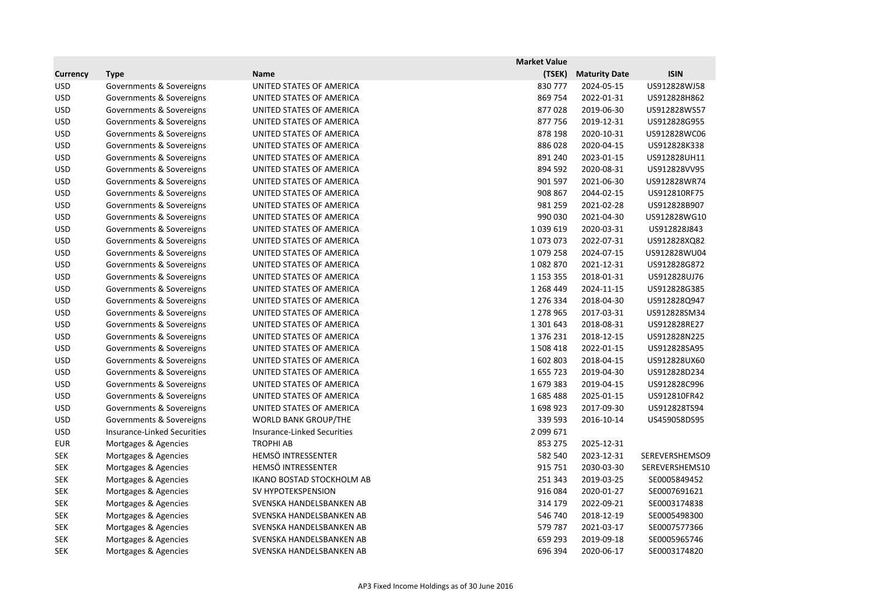|                 |                                    |                                    | <b>Market Value</b> |                      |                |
|-----------------|------------------------------------|------------------------------------|---------------------|----------------------|----------------|
| <b>Currency</b> | <b>Type</b>                        | <b>Name</b>                        | (TSEK)              | <b>Maturity Date</b> | <b>ISIN</b>    |
| <b>USD</b>      | Governments & Sovereigns           | UNITED STATES OF AMERICA           | 830 777             | 2024-05-15           | US912828WJ58   |
| <b>USD</b>      | Governments & Sovereigns           | UNITED STATES OF AMERICA           | 869 754             | 2022-01-31           | US912828H862   |
| <b>USD</b>      | Governments & Sovereigns           | UNITED STATES OF AMERICA           | 877028              | 2019-06-30           | US912828WS57   |
| <b>USD</b>      | Governments & Sovereigns           | UNITED STATES OF AMERICA           | 877756              | 2019-12-31           | US912828G955   |
| <b>USD</b>      | Governments & Sovereigns           | UNITED STATES OF AMERICA           | 878 198             | 2020-10-31           | US912828WC06   |
| <b>USD</b>      | Governments & Sovereigns           | UNITED STATES OF AMERICA           | 886028              | 2020-04-15           | US912828K338   |
| <b>USD</b>      | Governments & Sovereigns           | UNITED STATES OF AMERICA           | 891 240             | 2023-01-15           | US912828UH11   |
| <b>USD</b>      | Governments & Sovereigns           | UNITED STATES OF AMERICA           | 894 592             | 2020-08-31           | US912828VV95   |
| <b>USD</b>      | Governments & Sovereigns           | UNITED STATES OF AMERICA           | 901 597             | 2021-06-30           | US912828WR74   |
| <b>USD</b>      | Governments & Sovereigns           | UNITED STATES OF AMERICA           | 908 867             | 2044-02-15           | US912810RF75   |
| <b>USD</b>      | Governments & Sovereigns           | UNITED STATES OF AMERICA           | 981 259             | 2021-02-28           | US912828B907   |
| <b>USD</b>      | Governments & Sovereigns           | UNITED STATES OF AMERICA           | 990 030             | 2021-04-30           | US912828WG10   |
| <b>USD</b>      | Governments & Sovereigns           | UNITED STATES OF AMERICA           | 1 0 3 9 6 1 9       | 2020-03-31           | US912828J843   |
| <b>USD</b>      | Governments & Sovereigns           | UNITED STATES OF AMERICA           | 1073073             | 2022-07-31           | US912828XQ82   |
| <b>USD</b>      | Governments & Sovereigns           | UNITED STATES OF AMERICA           | 1079258             | 2024-07-15           | US912828WU04   |
| <b>USD</b>      | Governments & Sovereigns           | UNITED STATES OF AMERICA           | 1082870             | 2021-12-31           | US912828G872   |
| <b>USD</b>      | Governments & Sovereigns           | UNITED STATES OF AMERICA           | 1 1 5 3 3 5 5       | 2018-01-31           | US912828UJ76   |
| <b>USD</b>      | Governments & Sovereigns           | UNITED STATES OF AMERICA           | 1 268 449           | 2024-11-15           | US912828G385   |
| <b>USD</b>      | Governments & Sovereigns           | UNITED STATES OF AMERICA           | 1 276 334           | 2018-04-30           | US912828Q947   |
| <b>USD</b>      | Governments & Sovereigns           | UNITED STATES OF AMERICA           | 1 278 965           | 2017-03-31           | US912828SM34   |
| <b>USD</b>      | Governments & Sovereigns           | UNITED STATES OF AMERICA           | 1 301 643           | 2018-08-31           | US912828RE27   |
| <b>USD</b>      | Governments & Sovereigns           | UNITED STATES OF AMERICA           | 1 376 231           | 2018-12-15           | US912828N225   |
| <b>USD</b>      | Governments & Sovereigns           | UNITED STATES OF AMERICA           | 1 508 418           | 2022-01-15           | US912828SA95   |
| <b>USD</b>      | Governments & Sovereigns           | UNITED STATES OF AMERICA           | 1602803             | 2018-04-15           | US912828UX60   |
| <b>USD</b>      | Governments & Sovereigns           | UNITED STATES OF AMERICA           | 1655723             | 2019-04-30           | US912828D234   |
| <b>USD</b>      | Governments & Sovereigns           | UNITED STATES OF AMERICA           | 1679383             | 2019-04-15           | US912828C996   |
| <b>USD</b>      | Governments & Sovereigns           | UNITED STATES OF AMERICA           | 1685488             | 2025-01-15           | US912810FR42   |
| <b>USD</b>      | Governments & Sovereigns           | UNITED STATES OF AMERICA           | 1698923             | 2017-09-30           | US912828TS94   |
| <b>USD</b>      | Governments & Sovereigns           | <b>WORLD BANK GROUP/THE</b>        | 339 593             | 2016-10-14           | US459058DS95   |
| <b>USD</b>      | <b>Insurance-Linked Securities</b> | <b>Insurance-Linked Securities</b> | 2 099 671           |                      |                |
| <b>EUR</b>      | Mortgages & Agencies               | <b>TROPHI AB</b>                   | 853 275             | 2025-12-31           |                |
| <b>SEK</b>      | Mortgages & Agencies               | HEMSÖ INTRESSENTER                 | 582 540             | 2023-12-31           | SEREVERSHEMSO9 |
| <b>SEK</b>      | Mortgages & Agencies               | HEMSÖ INTRESSENTER                 | 915 751             | 2030-03-30           | SEREVERSHEMS10 |
| <b>SEK</b>      | Mortgages & Agencies               | <b>IKANO BOSTAD STOCKHOLM AB</b>   | 251 343             | 2019-03-25           | SE0005849452   |
| <b>SEK</b>      | Mortgages & Agencies               | SV HYPOTEKSPENSION                 | 916 084             | 2020-01-27           | SE0007691621   |
| <b>SEK</b>      | Mortgages & Agencies               | SVENSKA HANDELSBANKEN AB           | 314 179             | 2022-09-21           | SE0003174838   |
| <b>SEK</b>      | Mortgages & Agencies               | SVENSKA HANDELSBANKEN AB           | 546 740             | 2018-12-19           | SE0005498300   |
| <b>SEK</b>      | Mortgages & Agencies               | SVENSKA HANDELSBANKEN AB           | 579 787             | 2021-03-17           | SE0007577366   |
| <b>SEK</b>      | Mortgages & Agencies               | SVENSKA HANDELSBANKEN AB           | 659 293             | 2019-09-18           | SE0005965746   |
| <b>SEK</b>      | Mortgages & Agencies               | SVENSKA HANDELSBANKEN AB           | 696 394             | 2020-06-17           | SE0003174820   |